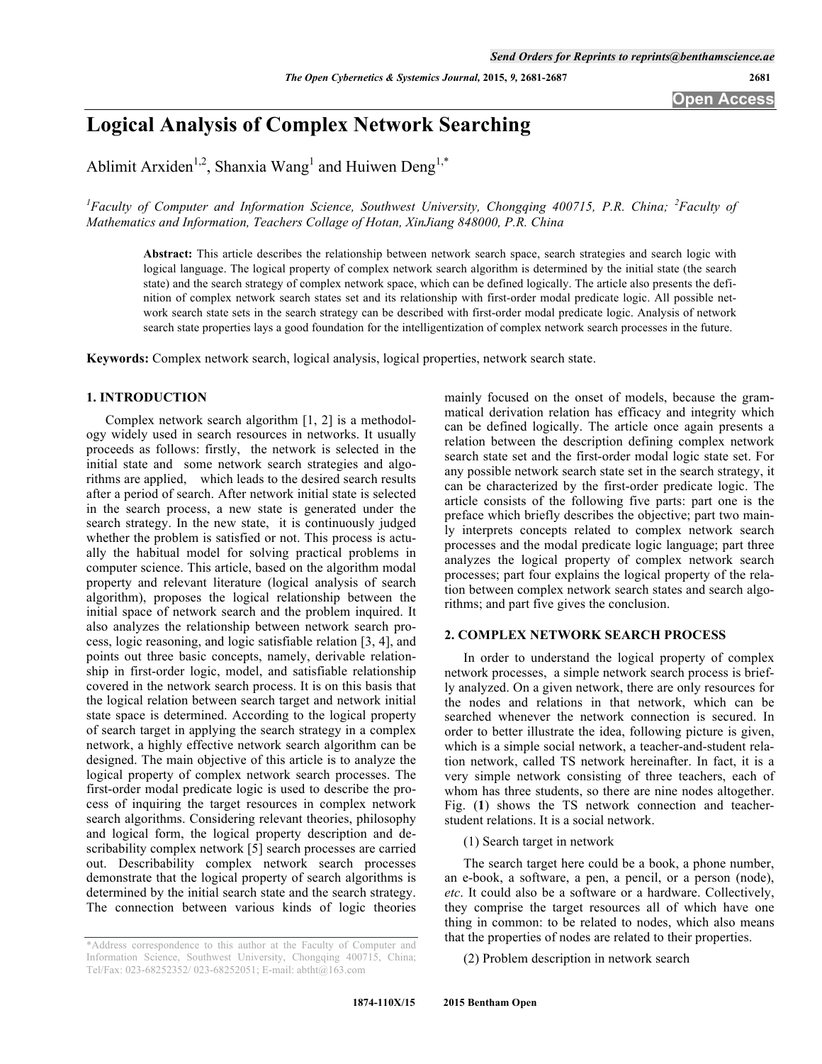**Open Access**

# **Logical Analysis of Complex Network Searching**

Ablimit Arxiden<sup>1,2</sup>, Shanxia Wang<sup>1</sup> and Huiwen Deng<sup>1,\*</sup>

*1 Faculty of Computer and Information Science, Southwest University, Chongqing 400715, P.R. China; <sup>2</sup> Faculty of Mathematics and Information, Teachers Collage of Hotan, XinJiang 848000, P.R. China*

**Abstract:** This article describes the relationship between network search space, search strategies and search logic with logical language. The logical property of complex network search algorithm is determined by the initial state (the search state) and the search strategy of complex network space, which can be defined logically. The article also presents the definition of complex network search states set and its relationship with first-order modal predicate logic. All possible network search state sets in the search strategy can be described with first-order modal predicate logic. Analysis of network search state properties lays a good foundation for the intelligentization of complex network search processes in the future.

**Keywords:** Complex network search, logical analysis, logical properties, network search state.

# **1. INTRODUCTION**

Complex network search algorithm [1, 2] is a methodology widely used in search resources in networks. It usually proceeds as follows: firstly, the network is selected in the initial state and some network search strategies and algorithms are applied, which leads to the desired search results after a period of search. After network initial state is selected in the search process, a new state is generated under the search strategy. In the new state, it is continuously judged whether the problem is satisfied or not. This process is actually the habitual model for solving practical problems in computer science. This article, based on the algorithm modal property and relevant literature (logical analysis of search algorithm), proposes the logical relationship between the initial space of network search and the problem inquired. It also analyzes the relationship between network search process, logic reasoning, and logic satisfiable relation [3, 4], and points out three basic concepts, namely, derivable relationship in first-order logic, model, and satisfiable relationship covered in the network search process. It is on this basis that the logical relation between search target and network initial state space is determined. According to the logical property of search target in applying the search strategy in a complex network, a highly effective network search algorithm can be designed. The main objective of this article is to analyze the logical property of complex network search processes. The first-order modal predicate logic is used to describe the process of inquiring the target resources in complex network search algorithms. Considering relevant theories, philosophy and logical form, the logical property description and describability complex network [5] search processes are carried out. Describability complex network search processes demonstrate that the logical property of search algorithms is determined by the initial search state and the search strategy. The connection between various kinds of logic theories

\*Address correspondence to this author at the Faculty of Computer and Information Science, Southwest University, Chongqing 400715, China; Tel/Fax: 023-68252352/ 023-68252051; E-mail: abtht@163.com

mainly focused on the onset of models, because the grammatical derivation relation has efficacy and integrity which can be defined logically. The article once again presents a relation between the description defining complex network search state set and the first-order modal logic state set. For any possible network search state set in the search strategy, it can be characterized by the first-order predicate logic. The article consists of the following five parts: part one is the preface which briefly describes the objective; part two mainly interprets concepts related to complex network search processes and the modal predicate logic language; part three analyzes the logical property of complex network search processes; part four explains the logical property of the relation between complex network search states and search algorithms; and part five gives the conclusion.

# **2. COMPLEX NETWORK SEARCH PROCESS**

In order to understand the logical property of complex network processes, a simple network search process is briefly analyzed. On a given network, there are only resources for the nodes and relations in that network, which can be searched whenever the network connection is secured. In order to better illustrate the idea, following picture is given, which is a simple social network, a teacher-and-student relation network, called TS network hereinafter. In fact, it is a very simple network consisting of three teachers, each of whom has three students, so there are nine nodes altogether. Fig. (**1**) shows the TS network connection and teacherstudent relations. It is a social network.

(1) Search target in network

The search target here could be a book, a phone number, an e-book, a software, a pen, a pencil, or a person (node), *etc*. It could also be a software or a hardware. Collectively, they comprise the target resources all of which have one thing in common: to be related to nodes, which also means that the properties of nodes are related to their properties.

(2) Problem description in network search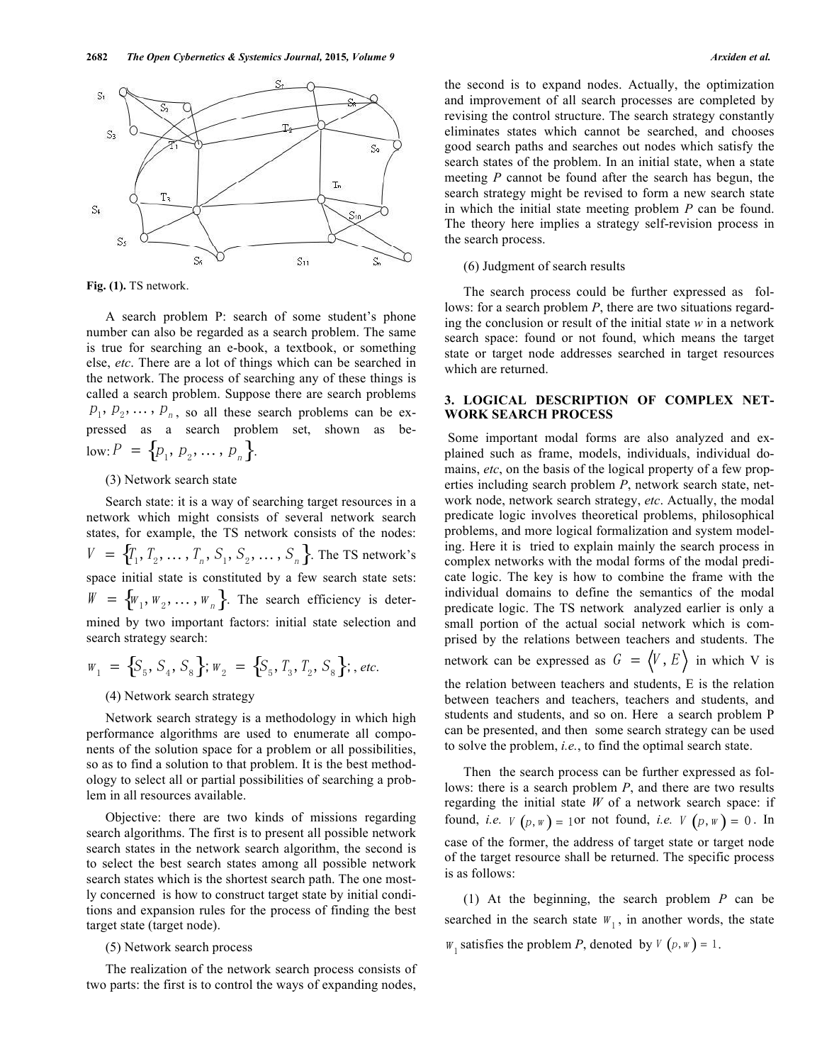

**Fig. (1).** TS network.

A search problem P: search of some student's phone number can also be regarded as a search problem. The same is true for searching an e-book, a textbook, or something else, *etc*. There are a lot of things which can be searched in the network. The process of searching any of these things is called a search problem. Suppose there are search problems  $p_1, p_2, \ldots, p_n$ , so all these search problems can be expressed as a search problem set, shown as below:  $P = \{p_1, p_2, \ldots, p_n\}.$ 

# (3) Network search state

Search state: it is a way of searching target resources in a network which might consists of several network search states, for example, the TS network consists of the nodes:  $V = \{T_1, T_2, \ldots, T_n, S_1, S_2, \ldots, S_n\}$ . The TS network's space initial state is constituted by a few search state sets:  $W = \{W_1, W_2, \dots, W_n\}$ . The search efficiency is determined by two important factors: initial state selection and search strategy search:

$$
W_1 = \{S_5, S_4, S_8\}; W_2 = \{S_5, T_3, T_2, S_8\}; \text{ etc.}
$$

# (4) Network search strategy

Network search strategy is a methodology in which high performance algorithms are used to enumerate all components of the solution space for a problem or all possibilities, so as to find a solution to that problem. It is the best methodology to select all or partial possibilities of searching a problem in all resources available.

Objective: there are two kinds of missions regarding search algorithms. The first is to present all possible network search states in the network search algorithm, the second is to select the best search states among all possible network search states which is the shortest search path. The one mostly concerned is how to construct target state by initial conditions and expansion rules for the process of finding the best target state (target node).

#### (5) Network search process

The realization of the network search process consists of two parts: the first is to control the ways of expanding nodes,

the second is to expand nodes. Actually, the optimization and improvement of all search processes are completed by revising the control structure. The search strategy constantly eliminates states which cannot be searched, and chooses good search paths and searches out nodes which satisfy the search states of the problem. In an initial state, when a state meeting *P* cannot be found after the search has begun, the search strategy might be revised to form a new search state in which the initial state meeting problem *P* can be found. The theory here implies a strategy self-revision process in the search process.

#### (6) Judgment of search results

The search process could be further expressed as follows: for a search problem *P*, there are two situations regarding the conclusion or result of the initial state *w* in a network search space: found or not found, which means the target state or target node addresses searched in target resources which are returned.

# **3. LOGICAL DESCRIPTION OF COMPLEX NET-WORK SEARCH PROCESS**

Some important modal forms are also analyzed and explained such as frame, models, individuals, individual domains, *etc*, on the basis of the logical property of a few properties including search problem *P*, network search state, network node, network search strategy, *etc*. Actually, the modal predicate logic involves theoretical problems, philosophical problems, and more logical formalization and system modeling. Here it is tried to explain mainly the search process in complex networks with the modal forms of the modal predicate logic. The key is how to combine the frame with the individual domains to define the semantics of the modal predicate logic. The TS network analyzed earlier is only a small portion of the actual social network which is comprised by the relations between teachers and students. The network can be expressed as  $G = \langle V, E \rangle$  in which V is the relation between teachers and students, E is the relation

between teachers and teachers, teachers and students, and students and students, and so on. Here a search problem P can be presented, and then some search strategy can be used to solve the problem, *i.e.*, to find the optimal search state.

Then the search process can be further expressed as follows: there is a search problem *P*, and there are two results regarding the initial state *W* of a network search space: if found, *i.e.*  $V(p, w) = 1$  or not found, *i.e.*  $V(p, w) = 0$ . In case of the former, the address of target state or target node of the target resource shall be returned. The specific process is as follows:

(1) At the beginning, the search problem *P* can be searched in the search state  $W_1$ , in another words, the state  $W_1$  satisfies the problem *P*, denoted by  $V(p, w) = 1$ .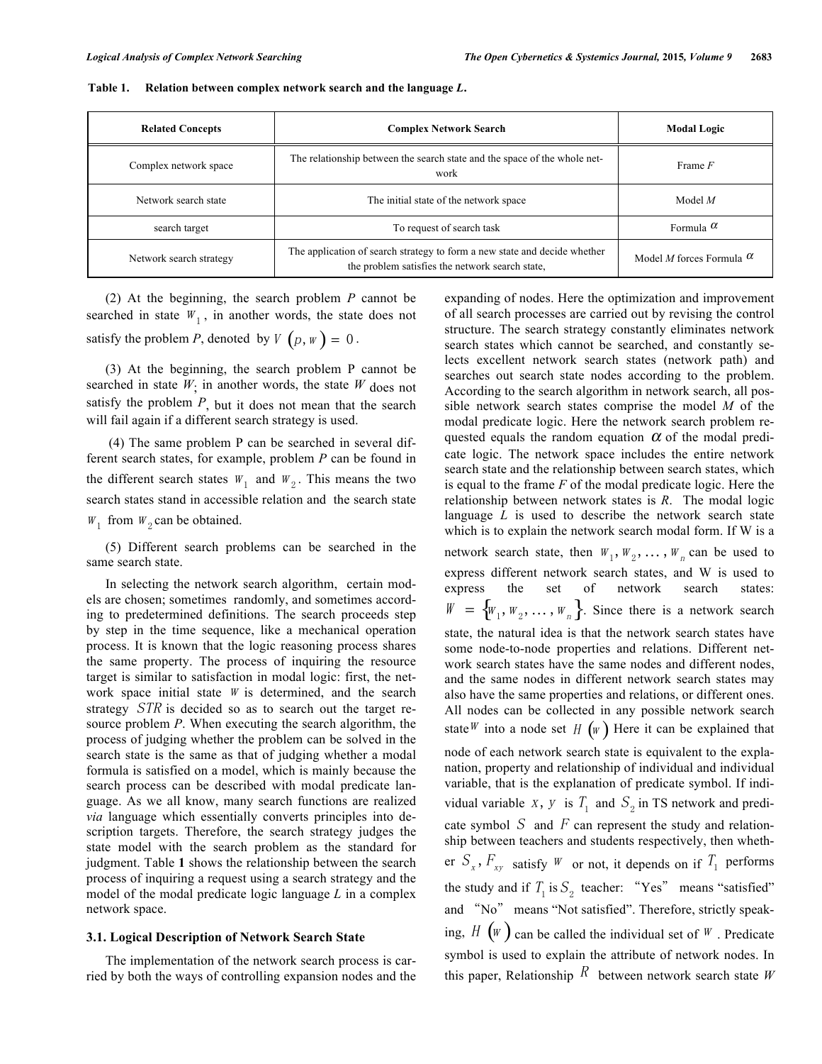| <b>Related Concepts</b> | <b>Complex Network Search</b>                                                                                                | <b>Modal Logic</b>                     |
|-------------------------|------------------------------------------------------------------------------------------------------------------------------|----------------------------------------|
| Complex network space   | The relationship between the search state and the space of the whole net-<br>work                                            | Frame F                                |
| Network search state    | The initial state of the network space                                                                                       | Model $M$                              |
| search target           | To request of search task                                                                                                    | Formula $\alpha$                       |
| Network search strategy | The application of search strategy to form a new state and decide whether<br>the problem satisfies the network search state, | Model <i>M</i> forces Formula $\alpha$ |

**Table 1. Relation between complex network search and the language** *L***.**

(2) At the beginning, the search problem *P* cannot be searched in state  $W_1$ , in another words, the state does not satisfy the problem *P*, denoted by  $V(p, w) = 0$ .

(3) At the beginning, the search problem P cannot be searched in state  $W_1$  in another words, the state  $W$  does not satisfy the problem  $P$ , but it does not mean that the search will fail again if a different search strategy is used.

(4) The same problem P can be searched in several different search states, for example, problem *P* can be found in the different search states  $W_1$  and  $W_2$ . This means the two search states stand in accessible relation and the search state  $W_1$  from  $W_2$  can be obtained.

(5) Different search problems can be searched in the same search state.

In selecting the network search algorithm, certain models are chosen; sometimes randomly, and sometimes according to predetermined definitions. The search proceeds step by step in the time sequence, like a mechanical operation process. It is known that the logic reasoning process shares the same property. The process of inquiring the resource target is similar to satisfaction in modal logic: first, the network space initial state  $W$  is determined, and the search strategy STR is decided so as to search out the target resource problem *P*. When executing the search algorithm, the process of judging whether the problem can be solved in the search state is the same as that of judging whether a modal formula is satisfied on a model, which is mainly because the search process can be described with modal predicate language. As we all know, many search functions are realized *via* language which essentially converts principles into description targets. Therefore, the search strategy judges the state model with the search problem as the standard for judgment. Table **1** shows the relationship between the search process of inquiring a request using a search strategy and the model of the modal predicate logic language *L* in a complex network space.

#### **3.1. Logical Description of Network Search State**

The implementation of the network search process is carried by both the ways of controlling expansion nodes and the expanding of nodes. Here the optimization and improvement of all search processes are carried out by revising the control structure. The search strategy constantly eliminates network search states which cannot be searched, and constantly selects excellent network search states (network path) and searches out search state nodes according to the problem. According to the search algorithm in network search, all possible network search states comprise the model *M* of the modal predicate logic. Here the network search problem requested equals the random equation  $\alpha$  of the modal predicate logic. The network space includes the entire network search state and the relationship between search states, which is equal to the frame *F* of the modal predicate logic. Here the relationship between network states is *R*. The modal logic language *L* is used to describe the network search state which is to explain the network search modal form. If W is a network search state, then  $W_1, W_2, \ldots, W_n$  can be used to express different network search states, and W is used to express the set of network search states:  $W = \{W_1, W_2, \ldots, W_n\}$ . Since there is a network search state, the natural idea is that the network search states have some node-to-node properties and relations. Different network search states have the same nodes and different nodes, and the same nodes in different network search states may also have the same properties and relations, or different ones. All nodes can be collected in any possible network search state<sup>W</sup> into a node set H  $(w)$  Here it can be explained that node of each network search state is equivalent to the explanation, property and relationship of individual and individual variable, that is the explanation of predicate symbol. If individual variable x, y is  $T_1$  and  $S_2$  in TS network and predicate symbol S and F can represent the study and relationship between teachers and students respectively, then whether  $S_x$ ,  $F_{xy}$  satisfy W or not, it depends on if  $T_1$  performs the study and if  $T_1$  is  $S_2$  teacher: "Yes" means "satisfied" and "No" means "Not satisfied". Therefore, strictly speaking,  $H(w)$  can be called the individual set of  $W$ . Predicate symbol is used to explain the attribute of network nodes. In this paper, Relationship  $R$  between network search state *W*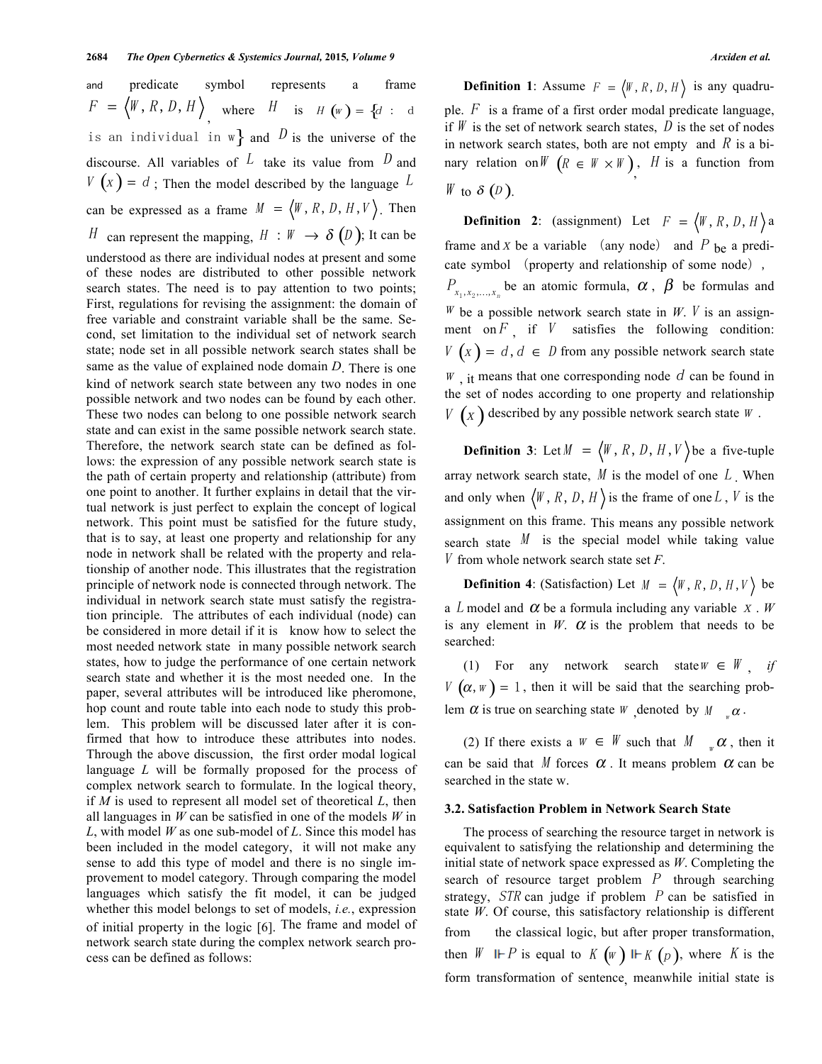and predicate symbol represents a frame  $F = \langle W, R, D, H \rangle$ , where H is  $H(w) = \{d : d$  ple F is a frame of a is an individual in w} and  $D$  is the universe of the discourse. All variables of  $L$  take its value from  $D$  and  $V(x) = d$ ; Then the model described by the language  $L$ can be expressed as a frame  $M = \langle W, R, D, H, V \rangle$ . Then H can represent the mapping,  $H : W \to \delta (D)$ ; It can be understood as there are individual nodes at present and some of these nodes are distributed to other possible network search states. The need is to pay attention to two points; First, regulations for revising the assignment: the domain of free variable and constraint variable shall be the same. Second, set limitation to the individual set of network search state; node set in all possible network search states shall be same as the value of explained node domain *D*. There is one kind of network search state between any two nodes in one possible network and two nodes can be found by each other. These two nodes can belong to one possible network search state and can exist in the same possible network search state. Therefore, the network search state can be defined as follows: the expression of any possible network search state is the path of certain property and relationship (attribute) from one point to another. It further explains in detail that the virtual network is just perfect to explain the concept of logical network. This point must be satisfied for the future study, that is to say, at least one property and relationship for any node in network shall be related with the property and relationship of another node. This illustrates that the registration principle of network node is connected through network. The individual in network search state must satisfy the registration principle. The attributes of each individual (node) can be considered in more detail if it is know how to select the most needed network state in many possible network search states, how to judge the performance of one certain network search state and whether it is the most needed one. In the paper, several attributes will be introduced like pheromone, hop count and route table into each node to study this problem. This problem will be discussed later after it is confirmed that how to introduce these attributes into nodes. Through the above discussion, the first order modal logical language *L* will be formally proposed for the process of complex network search to formulate. In the logical theory, if *M* is used to represent all model set of theoretical *L*, then all languages in *W* can be satisfied in one of the models *W* in *L*, with model *W* as one sub-model of *L*. Since this model has been included in the model category, it will not make any sense to add this type of model and there is no single improvement to model category. Through comparing the model languages which satisfy the fit model, it can be judged whether this model belongs to set of models, *i.e.*, expression of initial property in the logic [6]. The frame and model of network search state during the complex network search process can be defined as follows:

**Definition 1**: Assume  $F = \langle W, R, D, H \rangle$  is any quadruple.  $F$  is a frame of a first order modal predicate language, if  $W$  is the set of network search states,  $D$  is the set of nodes in network search states, both are not empty and  $R$  is a binary relation on  $W$   $(R \in W \times W)$ , *H* is a function from W to  $\delta$  (D).

**Definition 2**: (assignment) Let  $F = \langle W, R, D, H \rangle$  a frame and  $x$  be a variable (any node) and  $P$  be a predicate symbol (property and relationship of some node),  $P_{\lambda_1, \lambda_2, \ldots, \lambda_n}$  be an atomic formula,  $\alpha$ ,  $\beta$  be formulas and  $W$  be a possible network search state in  $W$ . V is an assignment on  $F_i$  if  $V$  satisfies the following condition:  $V\left(x\right) = d, d \in D$  from any possible network search state  $W$ , it means that one corresponding node  $d$  can be found in the set of nodes according to one property and relationship  $V\left(X\right)$  described by any possible network search state  $W$ .

**Definition 3**: Let  $M = \langle W, R, D, H, V \rangle$  be a five-tuple array network search state,  $M$  is the model of one  $L$ . When and only when  $\langle W, R, D, H \rangle$  is the frame of one L, V is the assignment on this frame. This means any possible network search state  $M$  is the special model while taking value V from whole network search state set *F*.

**Definition 4**: (Satisfaction) Let  $M = \langle W, R, D, H, V \rangle$  be a L model and  $\alpha$  be a formula including any variable  $x \cdot W$ is any element in  $W$ .  $\alpha$  is the problem that needs to be searched:

(1) For any network search state  $W \in W$  *if*  $V(\alpha, w) = 1$ , then it will be said that the searching problem  $\alpha$  is true on searching state W , denoted by  $M_{w_\alpha} \alpha$ .

(2) If there exists a  $W \in W$  such that  $M_{w} \alpha$ , then it can be said that M forces  $\alpha$ . It means problem  $\alpha$  can be searched in the state w.

#### **3.2. Satisfaction Problem in Network Search State**

The process of searching the resource target in network is equivalent to satisfying the relationship and determining the initial state of network space expressed as *W*. Completing the search of resource target problem  $P$  through searching strategy,  $STR$  can judge if problem  $P$  can be satisfied in state *W*. Of course, this satisfactory relationship is different from the classical logic, but after proper transformation, then  $W \Vdash P$  is equal to  $K(w) \Vdash K(p)$ , where K is the form transformation of sentence, meanwhile initial state is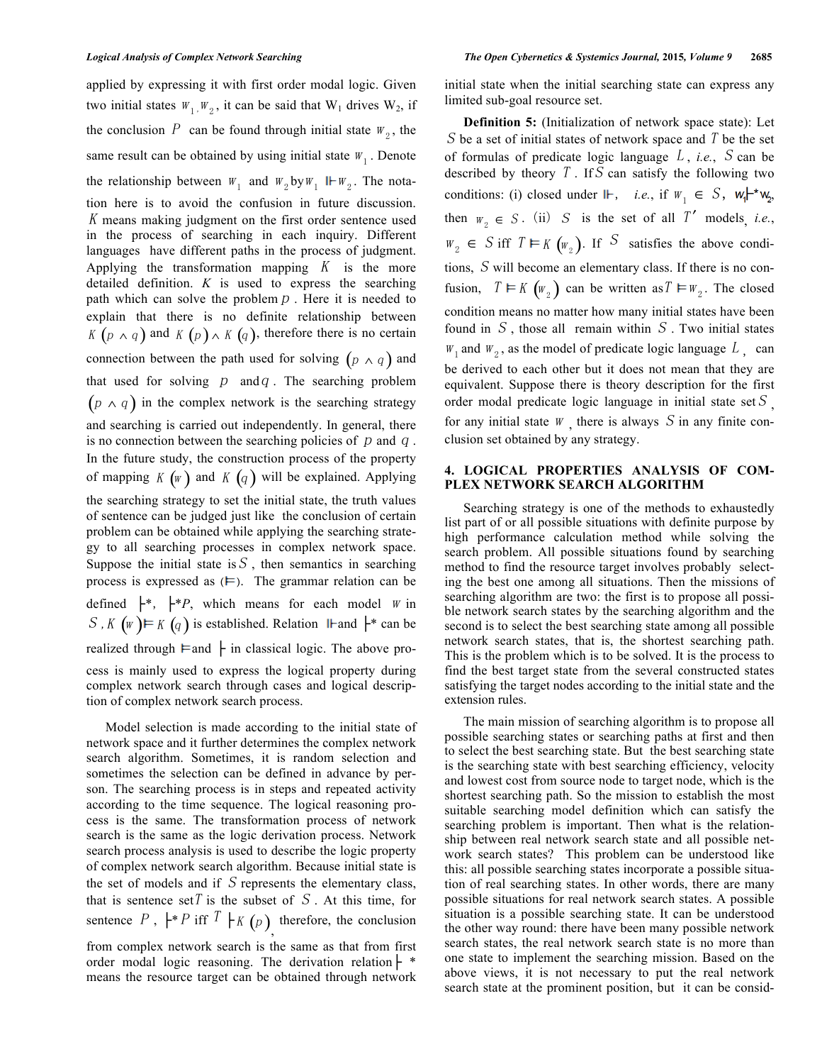applied by expressing it with first order modal logic. Given two initial states  $W_1, W_2$ , it can be said that  $W_1$  drives  $W_2$ , if the conclusion P can be found through initial state  $W_2$ , the same result can be obtained by using initial state  $W_1$ . Denote the relationship between  $W_1$  and  $W_2$  by  $W_1$  II- $W_2$ . The notation here is to avoid the confusion in future discussion. K means making judgment on the first order sentence used in the process of searching in each inquiry. Different languages have different paths in the process of judgment. Applying the transformation mapping  $K$  is the more detailed definition. *Κ* is used to express the searching path which can solve the problem  $p$ . Here it is needed to explain that there is no definite relationship between K  $(p \wedge q)$  and K  $(p) \wedge K(q)$ , therefore there is no certain connection between the path used for solving  $(p \wedge q)$  and that used for solving  $p$  and  $q$ . The searching problem  $(p \wedge q)$  in the complex network is the searching strategy and searching is carried out independently. In general, there is no connection between the searching policies of  $p$  and  $q$ . In the future study, the construction process of the property of mapping  $K(w)$  and  $K(q)$  will be explained. Applying the searching strategy to set the initial state, the truth values of sentence can be judged just like the conclusion of certain problem can be obtained while applying the searching strategy to all searching processes in complex network space. Suppose the initial state is  $S$ , then semantics in searching process is expressed as  $(F)$ . The grammar relation can be defined  $\begin{bmatrix} * \\ *P \end{bmatrix}$ , which means for each model *w* in  $S$ ,  $K$  (w)  $\vdash K$  (q) is established. Relation II-and  $\vdash^*$  can be realized through  $\models$  and  $\models$  in classical logic. The above process is mainly used to express the logical property during complex network search through cases and logical description of complex network search process.

Model selection is made according to the initial state of network space and it further determines the complex network search algorithm. Sometimes, it is random selection and sometimes the selection can be defined in advance by person. The searching process is in steps and repeated activity according to the time sequence. The logical reasoning process is the same. The transformation process of network search is the same as the logic derivation process. Network search process analysis is used to describe the logic property of complex network search algorithm. Because initial state is the set of models and if  $S$  represents the elementary class, that is sentence set T is the subset of  $S$ . At this time, for sentence P,  $\vdash^* P$  iff  $T \vdash_K (p)$ , therefore, the conclusion from complex network search is the same as that from first

order modal logic reasoning. The derivation relation  $\vdash$  \* means the resource target can be obtained through network initial state when the initial searching state can express any limited sub-goal resource set.

**Definition 5:** (Initialization of network space state): Let S be a set of initial states of network space and T be the set of formulas of predicate logic language L , *i.e.*, S can be described by theory  $T$ . If  $S$  can satisfy the following two conditions: (i) closed under  $\mathbb{F}$ , *i.e.*, if  $W_1 \in S$ ,  $W_1 \rightharpoonup W_2$ , then  $w_2 \in S$ . (ii) S is the set of all T' models, *i.e.*,  $W_2 \in S$  iff  $T \vDash K (w_2)$ . If S satisfies the above conditions, S will become an elementary class. If there is no confusion,  $T \vDash K(\mathbf{w}_2)$  can be written as  $T \vDash \mathbf{w}_2$ . The closed condition means no matter how many initial states have been found in  $S$ , those all remain within  $S$ . Two initial states  $W_1$  and  $W_2$ , as the model of predicate logic language  $L$ , can be derived to each other but it does not mean that they are equivalent. Suppose there is theory description for the first order modal predicate logic language in initial state set  $S$ , for any initial state  $W$ , there is always  $S$  in any finite conclusion set obtained by any strategy.

# **4. LOGICAL PROPERTIES ANALYSIS OF COM-PLEX NETWORK SEARCH ALGORITHM**

Searching strategy is one of the methods to exhaustedly list part of or all possible situations with definite purpose by high performance calculation method while solving the search problem. All possible situations found by searching method to find the resource target involves probably selecting the best one among all situations. Then the missions of searching algorithm are two: the first is to propose all possible network search states by the searching algorithm and the second is to select the best searching state among all possible network search states, that is, the shortest searching path. This is the problem which is to be solved. It is the process to find the best target state from the several constructed states satisfying the target nodes according to the initial state and the extension rules.

The main mission of searching algorithm is to propose all possible searching states or searching paths at first and then to select the best searching state. But the best searching state is the searching state with best searching efficiency, velocity and lowest cost from source node to target node, which is the shortest searching path. So the mission to establish the most suitable searching model definition which can satisfy the searching problem is important. Then what is the relationship between real network search state and all possible network search states? This problem can be understood like this: all possible searching states incorporate a possible situation of real searching states. In other words, there are many possible situations for real network search states. A possible situation is a possible searching state. It can be understood the other way round: there have been many possible network search states, the real network search state is no more than one state to implement the searching mission. Based on the above views, it is not necessary to put the real network search state at the prominent position, but it can be consid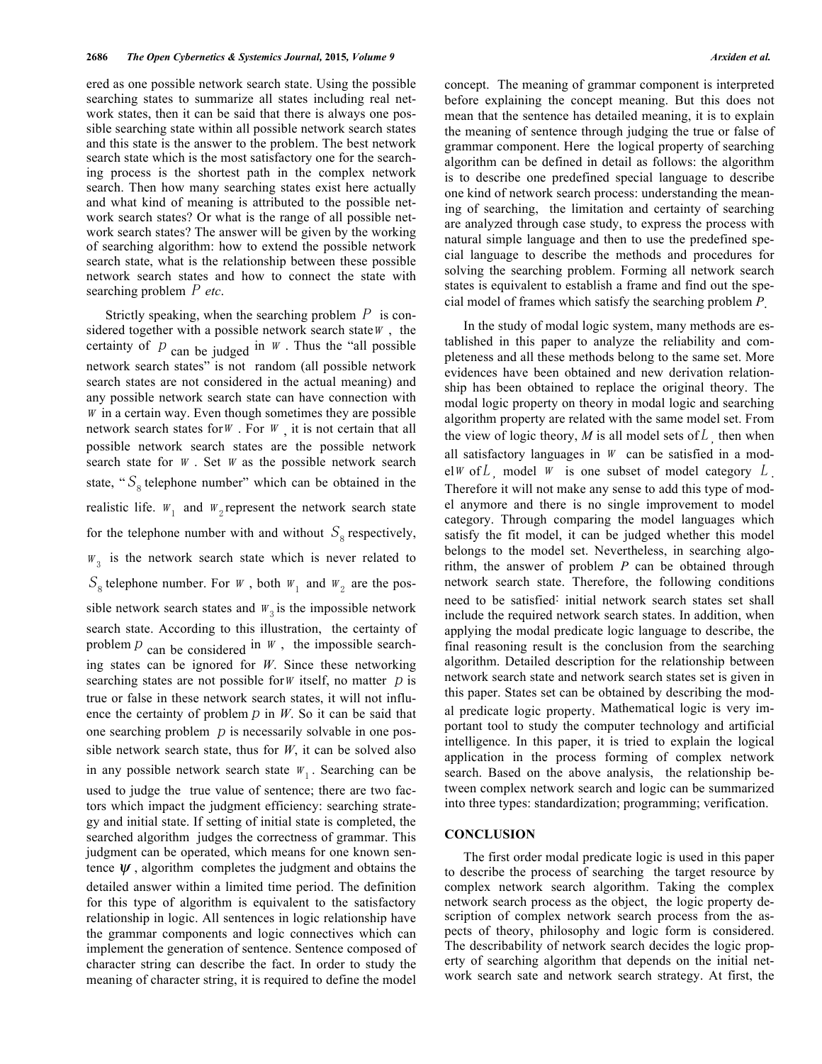ered as one possible network search state. Using the possible searching states to summarize all states including real network states, then it can be said that there is always one possible searching state within all possible network search states and this state is the answer to the problem. The best network search state which is the most satisfactory one for the searching process is the shortest path in the complex network search. Then how many searching states exist here actually and what kind of meaning is attributed to the possible network search states? Or what is the range of all possible network search states? The answer will be given by the working of searching algorithm: how to extend the possible network search state, what is the relationship between these possible network search states and how to connect the state with searching problem P *etc*.

Strictly speaking, when the searching problem  $P$  is considered together with a possible network search state  $W$ , the certainty of  $p$  can be judged in  $W$ . Thus the "all possible network search states" is not random (all possible network search states are not considered in the actual meaning) and any possible network search state can have connection with  $W$  in a certain way. Even though sometimes they are possible network search states for  $W$ . For  $W$ , it is not certain that all possible network search states are the possible network search state for  $W$ . Set  $W$  as the possible network search state, " $S_8$  telephone number" which can be obtained in the realistic life.  $W_1$  and  $W_2$  represent the network search state for the telephone number with and without  $S_8$  respectively,  $W<sub>3</sub>$  is the network search state which is never related to  $S_8$  telephone number. For  $W$ , both  $W_1$  and  $W_2$  are the possible network search states and  $W_3$  is the impossible network search state. According to this illustration, the certainty of problem  $p$  can be considered in  $W$ , the impossible searching states can be ignored for *W*. Since these networking searching states are not possible for *W* itself, no matter  $p$  is true or false in these network search states, it will not influence the certainty of problem  $p$  in  $W$ . So it can be said that one searching problem  $p$  is necessarily solvable in one possible network search state, thus for *W*, it can be solved also in any possible network search state  $W_1$ . Searching can be used to judge the true value of sentence; there are two factors which impact the judgment efficiency: searching strategy and initial state. If setting of initial state is completed, the searched algorithm judges the correctness of grammar. This judgment can be operated, which means for one known sentence  $\psi$ , algorithm completes the judgment and obtains the detailed answer within a limited time period. The definition for this type of algorithm is equivalent to the satisfactory relationship in logic. All sentences in logic relationship have the grammar components and logic connectives which can implement the generation of sentence. Sentence composed of character string can describe the fact. In order to study the meaning of character string, it is required to define the model

concept. The meaning of grammar component is interpreted before explaining the concept meaning. But this does not mean that the sentence has detailed meaning, it is to explain the meaning of sentence through judging the true or false of grammar component. Here the logical property of searching algorithm can be defined in detail as follows: the algorithm is to describe one predefined special language to describe one kind of network search process: understanding the meaning of searching, the limitation and certainty of searching are analyzed through case study, to express the process with natural simple language and then to use the predefined special language to describe the methods and procedures for solving the searching problem. Forming all network search states is equivalent to establish a frame and find out the special model of frames which satisfy the searching problem *P*.

In the study of modal logic system, many methods are established in this paper to analyze the reliability and completeness and all these methods belong to the same set. More evidences have been obtained and new derivation relationship has been obtained to replace the original theory. The modal logic property on theory in modal logic and searching algorithm property are related with the same model set. From the view of logic theory,  $M$  is all model sets of  $L<sub>j</sub>$ , then when all satisfactory languages in  $W$  can be satisfied in a modelw of L model w is one subset of model category  $L$ Therefore it will not make any sense to add this type of model anymore and there is no single improvement to model category. Through comparing the model languages which satisfy the fit model, it can be judged whether this model belongs to the model set. Nevertheless, in searching algorithm, the answer of problem *P* can be obtained through network search state. Therefore, the following conditions need to be satisfied: initial network search states set shall include the required network search states. In addition, when applying the modal predicate logic language to describe, the final reasoning result is the conclusion from the searching algorithm. Detailed description for the relationship between network search state and network search states set is given in this paper. States set can be obtained by describing the modal predicate logic property. Mathematical logic is very important tool to study the computer technology and artificial intelligence. In this paper, it is tried to explain the logical application in the process forming of complex network search. Based on the above analysis, the relationship between complex network search and logic can be summarized into three types: standardization; programming; verification.

# **CONCLUSION**

The first order modal predicate logic is used in this paper to describe the process of searching the target resource by complex network search algorithm. Taking the complex network search process as the object, the logic property description of complex network search process from the aspects of theory, philosophy and logic form is considered. The describability of network search decides the logic property of searching algorithm that depends on the initial network search sate and network search strategy. At first, the